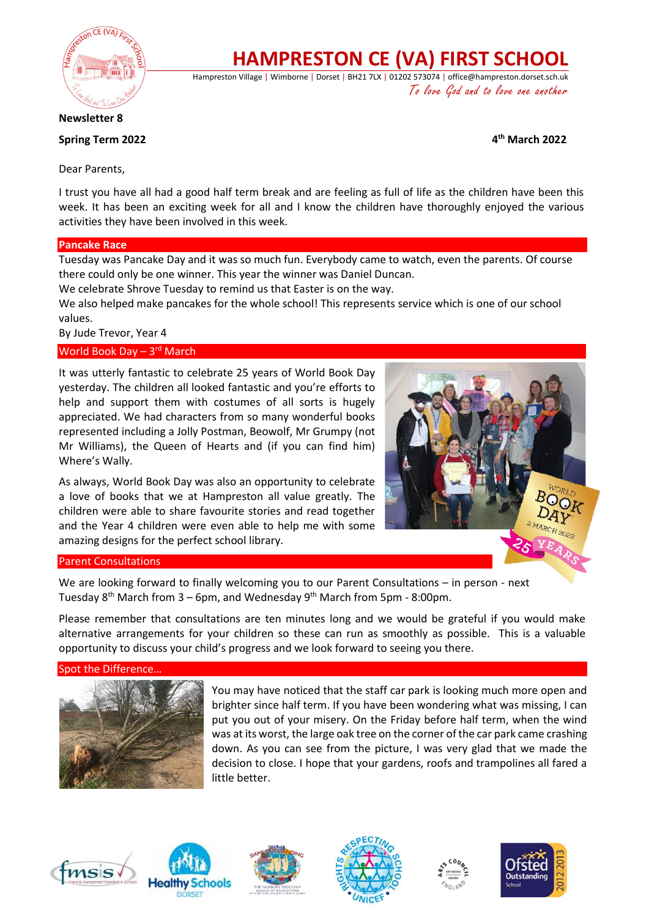

# **HAMPRESTON CE (VA) FIRST SCHOOL**

Hampreston Village | Wimborne | Dorset | BH21 7LX | 01202 573074 | office@hampreston.dorset.sch.uk To love God and to love one another

**Newsletter 8**

## **Spring Term 2022**

**th March 2022**

Dear Parents,

I trust you have all had a good half term break and are feeling as full of life as the children have been this week. It has been an exciting week for all and I know the children have thoroughly enjoyed the various activities they have been involved in this week.

## **Pancake Race**

Tuesday was Pancake Day and it was so much fun. Everybody came to watch, even the parents. Of course there could only be one winner. This year the winner was Daniel Duncan.

We celebrate Shrove Tuesday to remind us that Easter is on the way.

We also helped make pancakes for the whole school! This represents service which is one of our school values.

By Jude Trevor, Year 4

## World Book Day - 3rd March

It was utterly fantastic to celebrate 25 years of World Book Day yesterday. The children all looked fantastic and you're efforts to help and support them with costumes of all sorts is hugely appreciated. We had characters from so many wonderful books represented including a Jolly Postman, Beowolf, Mr Grumpy (not Mr Williams), the Queen of Hearts and (if you can find him) Where's Wally.

As always, World Book Day was also an opportunity to celebrate a love of books that we at Hampreston all value greatly. The children were able to share favourite stories and read together and the Year 4 children were even able to help me with some amazing designs for the perfect school library.



## Parent Consultations

We are looking forward to finally welcoming you to our Parent Consultations – in person - next Tuesday 8<sup>th</sup> March from 3 – 6pm, and Wednesday 9<sup>th</sup> March from 5pm - 8:00pm.

Please remember that consultations are ten minutes long and we would be grateful if you would make alternative arrangements for your children so these can run as smoothly as possible. This is a valuable opportunity to discuss your child's progress and we look forward to seeing you there.

## Spot the Difference



You may have noticed that the staff car park is looking much more open and brighter since half term. If you have been wondering what was missing, I can put you out of your misery. On the Friday before half term, when the wind was at its worst, the large oak tree on the corner of the car park came crashing down. As you can see from the picture, I was very glad that we made the decision to close. I hope that your gardens, roofs and trampolines all fared a little better.











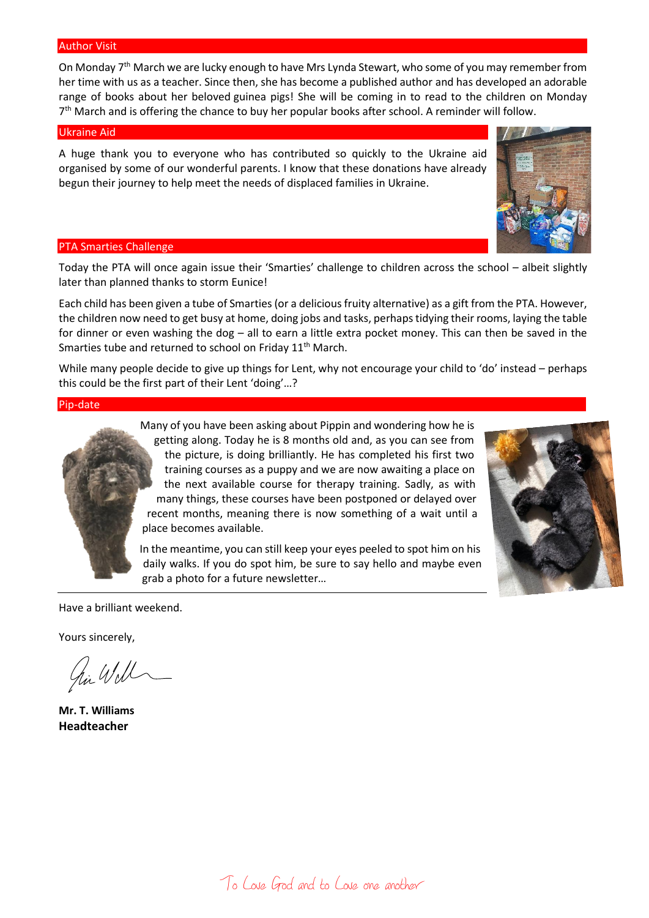#### Author Visit

On Monday 7th March we are lucky enough to have Mrs Lynda Stewart, who some of you may remember from her time with us as a teacher. Since then, she has become a published author and has developed an adorable range of books about her beloved guinea pigs! She will be coming in to read to the children on Monday 7<sup>th</sup> March and is offering the chance to buy her popular books after school. A reminder will follow.

#### Ukraine Aid

A huge thank you to everyone who has contributed so quickly to the Ukraine aid organised by some of our wonderful parents. I know that these donations have already begun their journey to help meet the needs of displaced families in Ukraine.

#### PTA Smarties Challenge

Today the PTA will once again issue their 'Smarties' challenge to children across the school – albeit slightly later than planned thanks to storm Eunice!

Each child has been given a tube of Smarties (or a delicious fruity alternative) as a gift from the PTA. However, the children now need to get busy at home, doing jobs and tasks, perhaps tidying their rooms, laying the table for dinner or even washing the dog – all to earn a little extra pocket money. This can then be saved in the Smarties tube and returned to school on Friday 11<sup>th</sup> March.

While many people decide to give up things for Lent, why not encourage your child to 'do' instead – perhaps this could be the first part of their Lent 'doing'…?

Pip-date



Many of you have been asking about Pippin and wondering how he is getting along. Today he is 8 months old and, as you can see from the picture, is doing brilliantly. He has completed his first two training courses as a puppy and we are now awaiting a place on the next available course for therapy training. Sadly, as with many things, these courses have been postponed or delayed over recent months, meaning there is now something of a wait until a place becomes available.

In the meantime, you can still keep your eyes peeled to spot him on his daily walks. If you do spot him, be sure to say hello and maybe even grab a photo for a future newsletter…



Have a brilliant weekend.

Yours sincerely,

hi Will

**Mr. T. Williams Headteacher**

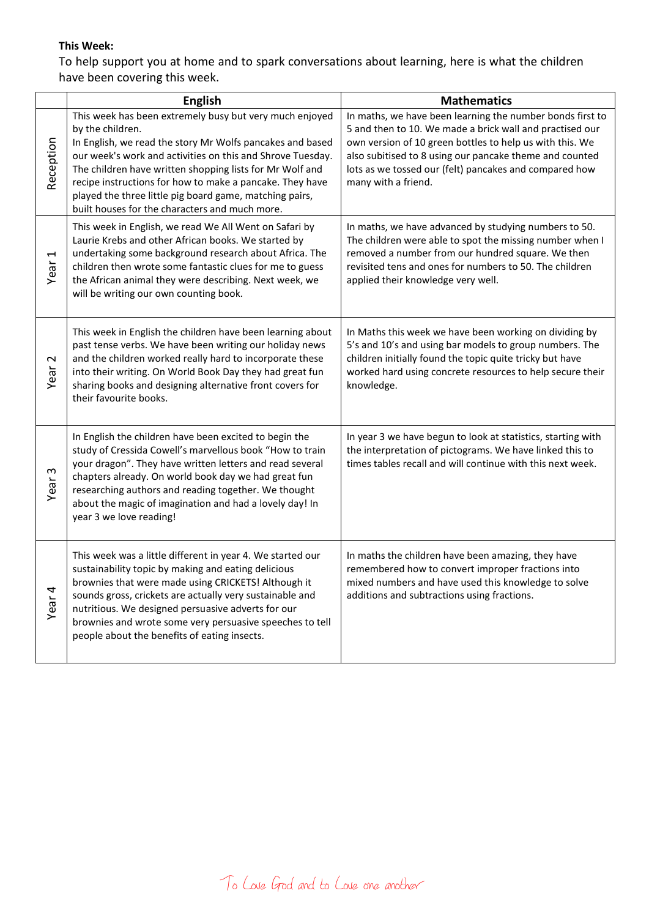# **This Week:**

To help support you at home and to spark conversations about learning, here is what the children have been covering this week.

|                              | <b>English</b>                                                                                                                                                                                                                                                                                                                                                                                                                              | <b>Mathematics</b>                                                                                                                                                                                                                                                                                                            |
|------------------------------|---------------------------------------------------------------------------------------------------------------------------------------------------------------------------------------------------------------------------------------------------------------------------------------------------------------------------------------------------------------------------------------------------------------------------------------------|-------------------------------------------------------------------------------------------------------------------------------------------------------------------------------------------------------------------------------------------------------------------------------------------------------------------------------|
| Reception                    | This week has been extremely busy but very much enjoyed<br>by the children.<br>In English, we read the story Mr Wolfs pancakes and based<br>our week's work and activities on this and Shrove Tuesday.<br>The children have written shopping lists for Mr Wolf and<br>recipe instructions for how to make a pancake. They have<br>played the three little pig board game, matching pairs,<br>built houses for the characters and much more. | In maths, we have been learning the number bonds first to<br>5 and then to 10. We made a brick wall and practised our<br>own version of 10 green bottles to help us with this. We<br>also subitised to 8 using our pancake theme and counted<br>lots as we tossed our (felt) pancakes and compared how<br>many with a friend. |
| $\blacktriangleleft$<br>Year | This week in English, we read We All Went on Safari by<br>Laurie Krebs and other African books. We started by<br>undertaking some background research about Africa. The<br>children then wrote some fantastic clues for me to guess<br>the African animal they were describing. Next week, we<br>will be writing our own counting book.                                                                                                     | In maths, we have advanced by studying numbers to 50.<br>The children were able to spot the missing number when I<br>removed a number from our hundred square. We then<br>revisited tens and ones for numbers to 50. The children<br>applied their knowledge very well.                                                       |
| $\mathbf{\sim}$<br>Year      | This week in English the children have been learning about<br>past tense verbs. We have been writing our holiday news<br>and the children worked really hard to incorporate these<br>into their writing. On World Book Day they had great fun<br>sharing books and designing alternative front covers for<br>their favourite books.                                                                                                         | In Maths this week we have been working on dividing by<br>5's and 10's and using bar models to group numbers. The<br>children initially found the topic quite tricky but have<br>worked hard using concrete resources to help secure their<br>knowledge.                                                                      |
| S<br>Year                    | In English the children have been excited to begin the<br>study of Cressida Cowell's marvellous book "How to train<br>your dragon". They have written letters and read several<br>chapters already. On world book day we had great fun<br>researching authors and reading together. We thought<br>about the magic of imagination and had a lovely day! In<br>year 3 we love reading!                                                        | In year 3 we have begun to look at statistics, starting with<br>the interpretation of pictograms. We have linked this to<br>times tables recall and will continue with this next week.                                                                                                                                        |
| Year <sub>4</sub>            | This week was a little different in year 4. We started our<br>sustainability topic by making and eating delicious<br>brownies that were made using CRICKETS! Although it<br>sounds gross, crickets are actually very sustainable and<br>nutritious. We designed persuasive adverts for our<br>brownies and wrote some very persuasive speeches to tell<br>people about the benefits of eating insects.                                      | In maths the children have been amazing, they have<br>remembered how to convert improper fractions into<br>mixed numbers and have used this knowledge to solve<br>additions and subtractions using fractions.                                                                                                                 |

To Love God and to Love one another